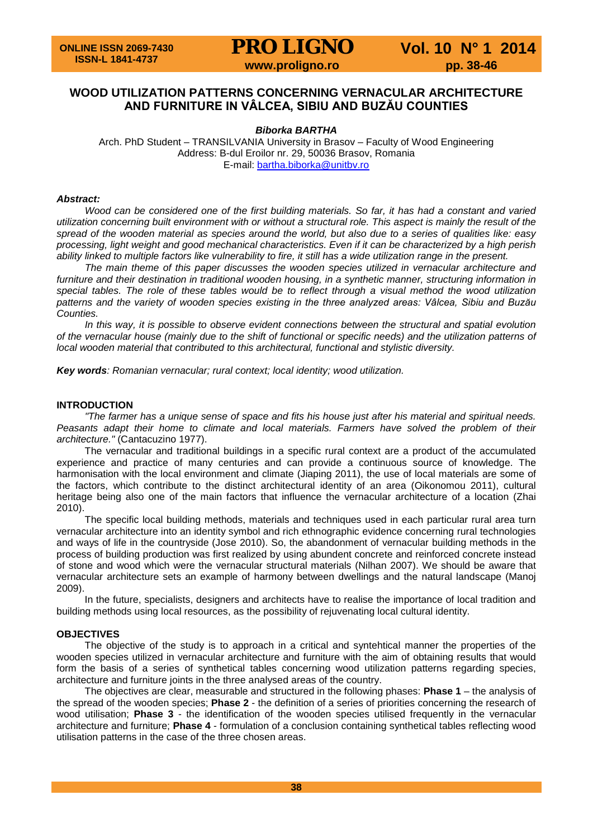**PRO LIGNO** Vol. 10 N° 1 2014

### **WOOD UTILIZATION PATTERNS CONCERNING VERNACULAR ARCHITECTURE AND FURNITURE IN VÂLCEA, SIBIU AND BUZĂU COUNTIES**

#### *Biborka BARTHA*

Arch. PhD Student – TRANSILVANIA University in Brasov – Faculty of Wood Engineering Address: B-dul Eroilor nr. 29, 50036 Brasov, Romania E-mail: [bartha.biborka@unitbv.ro](mailto:bartha.biborka@unitbv.ro)

#### *Abstract:*

*Wood can be considered one of the first building materials. So far, it has had a constant and varied utilization concerning built environment with or without a structural role. This aspect is mainly the result of the spread of the wooden material as species around the world, but also due to a series of qualities like: easy processing, light weight and good mechanical characteristics. Even if it can be characterized by a high perish ability linked to multiple factors like vulnerability to fire, it still has a wide utilization range in the present.*

*The main theme of this paper discusses the wooden species utilized in vernacular architecture and furniture and their destination in traditional wooden housing, in a synthetic manner, structuring information in special tables. The role of these tables would be to reflect through a visual method the wood utilization patterns and the variety of wooden species existing in the three analyzed areas: Vâlcea, Sibiu and Buzău Counties.*

*In this way, it is possible to observe evident connections between the structural and spatial evolution of the vernacular house (mainly due to the shift of functional or specific needs) and the utilization patterns of local wooden material that contributed to this architectural, functional and stylistic diversity.* 

*Key words: Romanian vernacular; rural context; local identity; wood utilization.*

#### **INTRODUCTION**

*"The farmer has a unique sense of space and fits his house just after his material and spiritual needs. Peasants adapt their home to climate and local materials. Farmers have solved the problem of their architecture."* (Cantacuzino 1977).

The vernacular and traditional buildings in a specific rural context are a product of the accumulated experience and practice of many centuries and can provide a continuous source of knowledge. The harmonisation with the local environment and climate (Jiaping 2011), the use of local materials are some of the factors, which contribute to the distinct architectural identity of an area (Oikonomou 2011), cultural heritage being also one of the main factors that influence the vernacular architecture of a location (Zhai 2010).

The specific local building methods, materials and techniques used in each particular rural area turn vernacular architecture into an identity symbol and rich ethnographic evidence concerning rural technologies and ways of life in the countryside (Jose 2010). So, the abandonment of vernacular building methods in the process of building production was first realized by using abundent concrete and reinforced concrete instead of stone and wood which were the vernacular structural materials (Nilhan 2007). We should be aware that vernacular architecture sets an example of harmony between dwellings and the natural landscape (Manoj 2009).

In the future, specialists, designers and architects have to realise the importance of local tradition and building methods using local resources, as the possibility of rejuvenating local cultural identity.

#### **OBJECTIVES**

The objective of the study is to approach in a critical and syntehtical manner the properties of the wooden species utilized in vernacular architecture and furniture with the aim of obtaining results that would form the basis of a series of synthetical tables concerning wood utilization patterns regarding species, architecture and furniture joints in the three analysed areas of the country.

The objectives are clear, measurable and structured in the following phases: **Phase 1** – the analysis of the spread of the wooden species; **Phase 2** - the definition of a series of priorities concerning the research of wood utilisation; **Phase 3** - the identification of the wooden species utilised frequently in the vernacular architecture and furniture; **Phase 4** - formulation of a conclusion containing synthetical tables reflecting wood utilisation patterns in the case of the three chosen areas.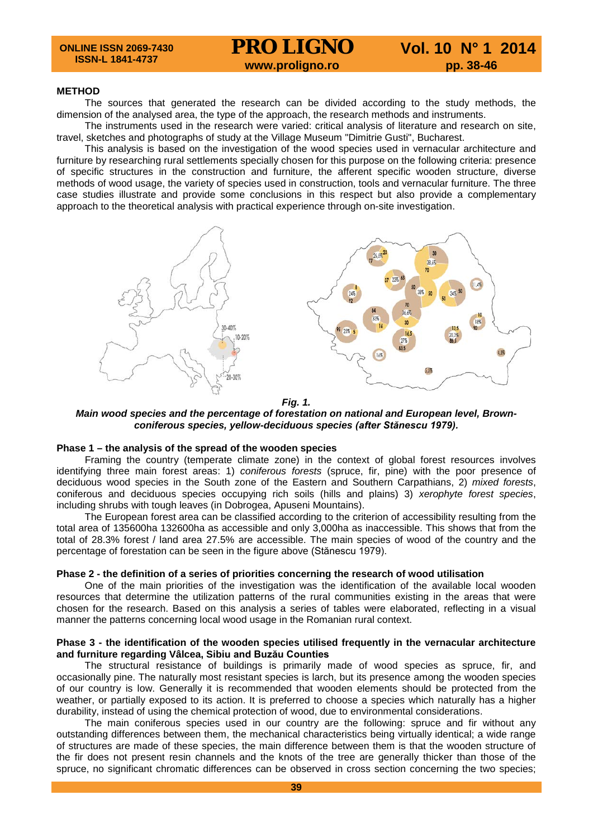#### **METHOD**

The sources that generated the research can be divided according to the study methods, the dimension of the analysed area, the type of the approach, the research methods and instruments.

The instruments used in the research were varied: critical analysis of literature and research on site, travel, sketches and photographs of study at the Village Museum "Dimitrie Gusti", Bucharest.

This analysis is based on the investigation of the wood species used in vernacular architecture and furniture by researching rural settlements specially chosen for this purpose on the following criteria: presence of specific structures in the construction and furniture, the afferent specific wooden structure, diverse methods of wood usage, the variety of species used in construction, tools and vernacular furniture. The three case studies illustrate and provide some conclusions in this respect but also provide a complementary approach to the theoretical analysis with practical experience through on-site investigation.



*Fig. 1.*

*Main wood species and the percentage of forestation on national and European level, Brownconiferous species, yellow-deciduous species (after Stănescu 1979).*

#### **Phase 1 – the analysis of the spread of the wooden species**

Framing the country (temperate climate zone) in the context of global forest resources involves identifying three main forest areas: 1) *coniferous forests* (spruce, fir, pine) with the poor presence of deciduous wood species in the South zone of the Eastern and Southern Carpathians, 2) *mixed forests*, coniferous and deciduous species occupying rich soils (hills and plains) 3) *xerophyte forest species*, including shrubs with tough leaves (in Dobrogea, Apuseni Mountains).

The European forest area can be classified according to the criterion of accessibility resulting from the total area of 135600ha 132600ha as accessible and only 3,000ha as inaccessible. This shows that from the total of 28.3% forest / land area 27.5% are accessible. The main species of wood of the country and the percentage of forestation can be seen in the figure above (Stănescu 1979).

#### **Phase 2 - the definition of a series of priorities concerning the research of wood utilisation**

One of the main priorities of the investigation was the identification of the available local wooden resources that determine the utilization patterns of the rural communities existing in the areas that were chosen for the research. Based on this analysis a series of tables were elaborated, reflecting in a visual manner the patterns concerning local wood usage in the Romanian rural context.

#### **Phase 3 - the identification of the wooden species utilised frequently in the vernacular architecture and furniture regarding Vâlcea, Sibiu and Buzău Counties**

The structural resistance of buildings is primarily made of wood species as spruce, fir, and occasionally pine. The naturally most resistant species is larch, but its presence among the wooden species of our country is low. Generally it is recommended that wooden elements should be protected from the weather, or partially exposed to its action. It is preferred to choose a species which naturally has a higher durability, instead of using the chemical protection of wood, due to environmental considerations.

The main coniferous species used in our country are the following: spruce and fir without any outstanding differences between them, the mechanical characteristics being virtually identical; a wide range of structures are made of these species, the main difference between them is that the wooden structure of the fir does not present resin channels and the knots of the tree are generally thicker than those of the spruce, no significant chromatic differences can be observed in cross section concerning the two species;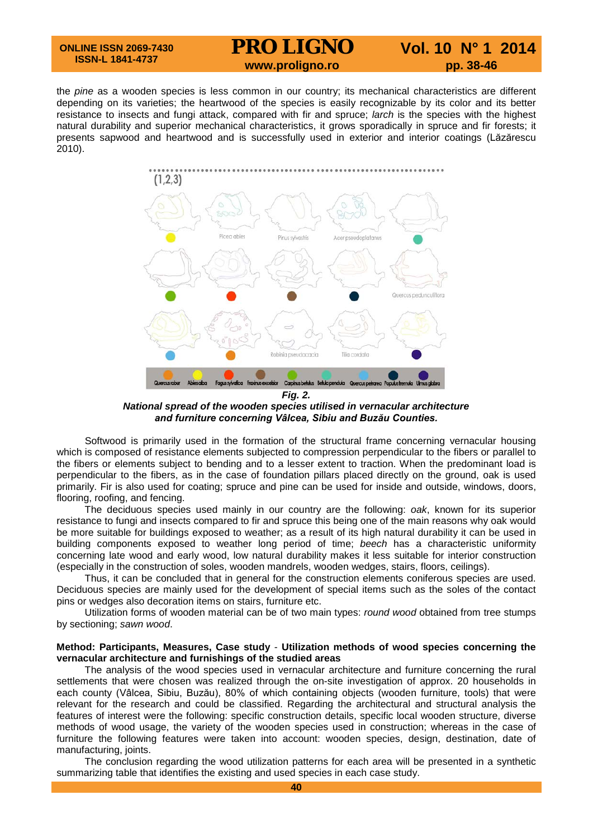**ONLINE ISSN 2069-7430 ISSN-L 1841-4737**

## **PRO LIGNO** Vol. 10 N° 1 2014<br>www.proligno.ro pp. 38-46

the *pine* as a wooden species is less common in our country; its mechanical characteristics are different depending on its varieties; the heartwood of the species is easily recognizable by its color and its better resistance to insects and fungi attack, compared with fir and spruce; *larch* is the species with the highest natural durability and superior mechanical characteristics, it grows sporadically in spruce and fir forests; it presents sapwood and heartwood and is successfully used in exterior and interior coatings (Lăzărescu 2010).



*Fig. 2. National spread of the wooden species utilised in vernacular architecture and furniture concerning Vâlcea, Sibiu and Buzău Counties.*

Softwood is primarily used in the formation of the structural frame concerning vernacular housing which is composed of resistance elements subjected to compression perpendicular to the fibers or parallel to the fibers or elements subject to bending and to a lesser extent to traction. When the predominant load is perpendicular to the fibers, as in the case of foundation pillars placed directly on the ground, oak is used primarily. Fir is also used for coating; spruce and pine can be used for inside and outside, windows, doors, flooring, roofing, and fencing.

The deciduous species used mainly in our country are the following: *oak*, known for its superior resistance to fungi and insects compared to fir and spruce this being one of the main reasons why oak would be more suitable for buildings exposed to weather; as a result of its high natural durability it can be used in building components exposed to weather long period of time; *beech* has a characteristic uniformity concerning late wood and early wood, low natural durability makes it less suitable for interior construction (especially in the construction of soles, wooden mandrels, wooden wedges, stairs, floors, ceilings).

Thus, it can be concluded that in general for the construction elements coniferous species are used. Deciduous species are mainly used for the development of special items such as the soles of the contact pins or wedges also decoration items on stairs, furniture etc.

Utilization forms of wooden material can be of two main types: *round wood* obtained from tree stumps by sectioning; *sawn wood*.

#### **Method: Participants, Measures, Case study** - **Utilization methods of wood species concerning the vernacular architecture and furnishings of the studied areas**

The analysis of the wood species used in vernacular architecture and furniture concerning the rural settlements that were chosen was realized through the on-site investigation of approx. 20 households in each county (Vâlcea, Sibiu, Buzău), 80% of which containing objects (wooden furniture, tools) that were relevant for the research and could be classified. Regarding the architectural and structural analysis the features of interest were the following: specific construction details, specific local wooden structure, diverse methods of wood usage, the variety of the wooden species used in construction; whereas in the case of furniture the following features were taken into account: wooden species, design, destination, date of manufacturing, joints.

The conclusion regarding the wood utilization patterns for each area will be presented in a synthetic summarizing table that identifies the existing and used species in each case study.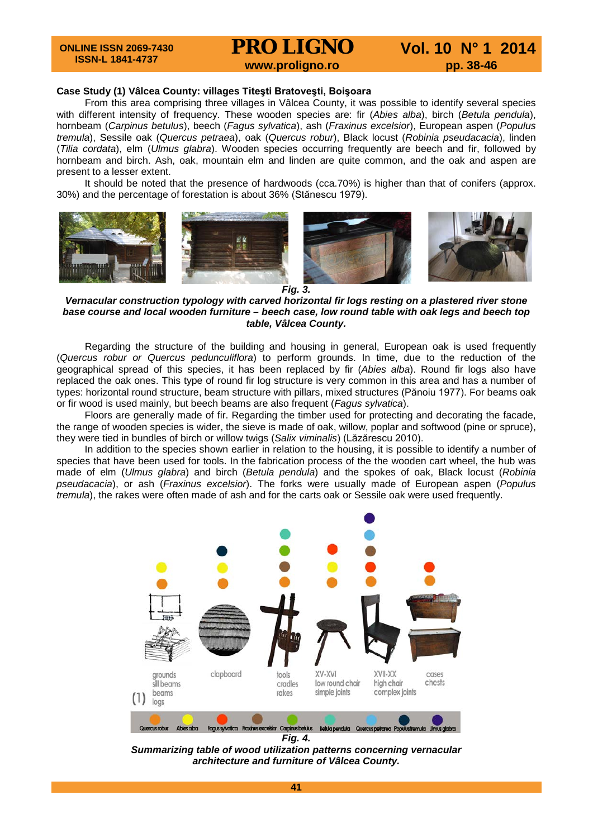**ONLINE ISSN 2069-7430 ISSN-L 1841-4737**

**PRO LIGNO** Vol. 10 N° 1 2014<br>www.proligno.ro pp. 38-46

#### **Case Study (1) Vâlcea County: villages Titeşti Bratoveşti, Boişoara**

From this area comprising three villages in Vâlcea County, it was possible to identify several species with different intensity of frequency. These wooden species are: fir (*Abies alba*), birch (*Betula pendula*), hornbeam (*Carpinus betulus*), beech (*Fagus sylvatica*), ash (*Fraxinus excelsior*), European aspen (*Populus tremula*), Sessile oak (*Quercus petraea*), oak (*Quercus robur*), Black locust (*Robinia pseudacacia*), linden (*Tilia cordata*), elm (*Ulmus glabra*). Wooden species occurring frequently are beech and fir, followed by hornbeam and birch. Ash, oak, mountain elm and linden are quite common, and the oak and aspen are present to a lesser extent.

It should be noted that the presence of hardwoods (cca.70%) is higher than that of conifers (approx. 30%) and the percentage of forestation is about 36% (Stănescu 1979).





*Fig. 3.*

*Vernacular construction typology with carved horizontal fir logs resting on a plastered river stone base course and local wooden furniture – beech case, low round table with oak legs and beech top table, Vâlcea County.*

Regarding the structure of the building and housing in general, European oak is used frequently (*Quercus robur or Quercus pedunculiflora*) to perform grounds. In time, due to the reduction of the geographical spread of this species, it has been replaced by fir (*Abies alba*). Round fir logs also have replaced the oak ones. This type of round fir log structure is very common in this area and has a number of types: horizontal round structure, beam structure with pillars, mixed structures (Pănoiu 1977). For beams oak or fir wood is used mainly, but beech beams are also frequent (*Fagus sylvatica*).

Floors are generally made of fir. Regarding the timber used for protecting and decorating the facade, the range of wooden species is wider, the sieve is made of oak, willow, poplar and softwood (pine or spruce), they were tied in bundles of birch or willow twigs (*Salix viminalis*) (Lăzărescu 2010).

In addition to the species shown earlier in relation to the housing, it is possible to identify a number of species that have been used for tools. In the fabrication process of the the wooden cart wheel, the hub was made of elm (*Ulmus glabra*) and birch (*Betula pendula*) and the spokes of oak, Black locust (*Robinia pseudacacia*), or ash (*Fraxinus excelsior*). The forks were usually made of European aspen (*Populus tremula*), the rakes were often made of ash and for the carts oak or Sessile oak were used frequently.



*Fig. 4. Summarizing table of wood utilization patterns concerning vernacular architecture and furniture of Vâlcea County.*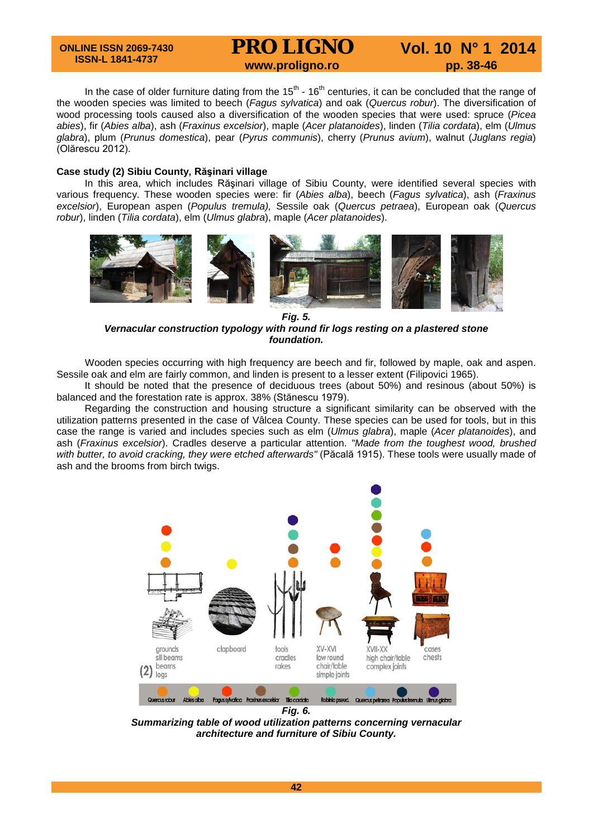#### **ONLINE ISSN 2069-7430 ISSN-L 1841-4737**

# **PRO LIGNO** Vol. 10 N° 1 2014<br>www.proligno.ro pp. 38-46

In the case of older furniture dating from the  $15<sup>th</sup>$  -  $16<sup>th</sup>$  centuries, it can be concluded that the range of the wooden species was limited to beech (*Fagus sylvatica*) and oak (*Quercus robur*). The diversification of wood processing tools caused also a diversification of the wooden species that were used: spruce (*Picea abies*), fir (*Abies alba*), ash (*Fraxinus excelsior*), maple (*Acer platanoides*), linden (*Tilia cordata*), elm (*Ulmus glabra*), plum (*Prunus domestica*), pear (*Pyrus communis*), cherry (*Prunus avium*), walnut (*Juglans regia*) (Olărescu 2012).

#### **Case study (2) Sibiu County, Răşinari village**

In this area, which includes Rășinari village of Sibiu County, were identified several species with various frequency. These wooden species were: fir (*Abies alba*), beech (*Fagus sylvatica*), ash (*Fraxinus excelsior*), European aspen (*Populus tremula),* Sessile oak (*Quercus petraea*), European oak (*Quercus robur*), linden (*Tilia cordata*), elm (*Ulmus glabra*), maple (*Acer platanoides*).



*Fig. 5. Vernacular construction typology with round fir logs resting on a plastered stone foundation.*

Wooden species occurring with high frequency are beech and fir, followed by maple, oak and aspen. Sessile oak and elm are fairly common, and linden is present to a lesser extent (Filipovici 1965).

It should be noted that the presence of deciduous trees (about 50%) and resinous (about 50%) is balanced and the forestation rate is approx. 38% (Stănescu 1979).

Regarding the construction and housing structure a significant similarity can be observed with the utilization patterns presented in the case of Vâlcea County. These species can be used for tools, but in this case the range is varied and includes species such as elm (*Ulmus glabra*), maple (*Acer platanoides*), and ash (*Fraxinus excelsior*). Cradles deserve a particular attention. *"Made from the toughest wood, brushed with butter, to avoid cracking, they were etched afterwards"* (Păcală 1915). These tools were usually made of ash and the brooms from birch twigs.



*Summarizing table of wood utilization patterns concerning vernacular architecture and furniture of Sibiu County.*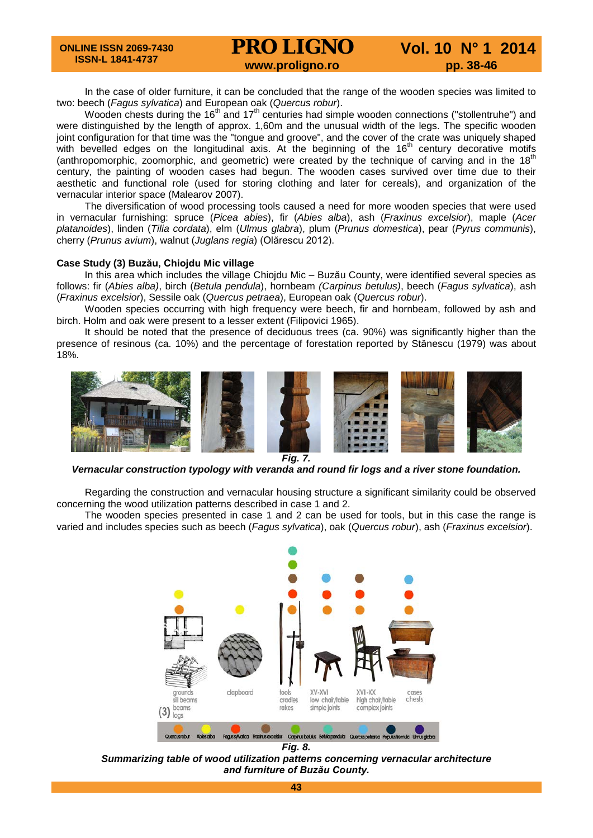In the case of older furniture, it can be concluded that the range of the wooden species was limited to two: beech (*Fagus sylvatica*) and European oak (*Quercus robur*).

Wooden chests during the 16<sup>th</sup> and 17<sup>th</sup> centuries had simple wooden connections ("stollentruhe") and were distinguished by the length of approx. 1,60m and the unusual width of the legs. The specific wooden joint configuration for that time was the "tongue and groove", and the cover of the crate was uniquely shaped with bevelled edges on the longitudinal axis. At the beginning of the 16<sup>th</sup> century decorative motifs (anthropomorphic, zoomorphic, and geometric) were created by the technique of carving and in the 18<sup>th</sup> century, the painting of wooden cases had begun. The wooden cases survived over time due to their aesthetic and functional role (used for storing clothing and later for cereals), and organization of the vernacular interior space (Malearov 2007).

The diversification of wood processing tools caused a need for more wooden species that were used in vernacular furnishing: spruce (*Picea abies*), fir (*Abies alba*), ash (*Fraxinus excelsior*), maple (*Acer platanoides*), linden (*Tilia cordata*), elm (*Ulmus glabra*), plum (*Prunus domestica*), pear (*Pyrus communis*), cherry (*Prunus avium*), walnut (*Juglans regia*) (Olărescu 2012).

#### **Case Study (3) Buzău, Chiojdu Mic village**

In this area which includes the village Chiojdu Mic – Buzău County, were identified several species as follows: fir (*Abies alba)*, birch (*Betula pendula*), hornbeam *(Carpinus betulus)*, beech (*Fagus sylvatica*), ash (*Fraxinus excelsior*), Sessile oak (*Quercus petraea*), European oak (*Quercus robur*).

Wooden species occurring with high frequency were beech, fir and hornbeam, followed by ash and birch. Holm and oak were present to a lesser extent (Filipovici 1965).

It should be noted that the presence of deciduous trees (ca. 90%) was significantly higher than the presence of resinous (ca. 10%) and the percentage of forestation reported by Stănescu (1979) was about 18%.



*Fig. 7.*

*Vernacular construction typology with veranda and round fir logs and a river stone foundation.*

Regarding the construction and vernacular housing structure a significant similarity could be observed concerning the wood utilization patterns described in case 1 and 2.

The wooden species presented in case 1 and 2 can be used for tools, but in this case the range is varied and includes species such as beech (*Fagus sylvatica*), oak (*Quercus robur*), ash (*Fraxinus excelsior*).



*Fig. 8.*

*Summarizing table of wood utilization patterns concerning vernacular architecture and furniture of Buzău County.*

**43**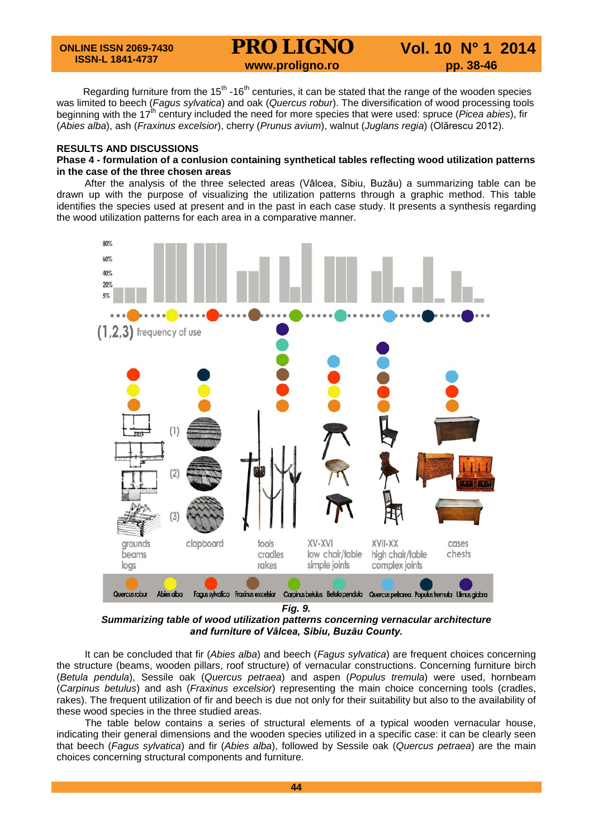Regarding furniture from the  $15<sup>th</sup> - 16<sup>th</sup>$  centuries, it can be stated that the range of the wooden species was limited to beech (*Fagus sylvatica*) and oak (*Quercus robur*). The diversification of wood processing tools beginning with the 17<sup>th</sup> century included the need for more species that were used: spruce (*Picea abies*), fir (*Abies alba*), ash (*Fraxinus excelsior*), cherry (*Prunus avium*), walnut (*Juglans regia*) (Olărescu 2012).

#### **RESULTS AND DISCUSSIONS**

#### **Phase 4 - formulation of a conlusion containing synthetical tables reflecting wood utilization patterns in the case of the three chosen areas**

After the analysis of the three selected areas (Vâlcea, Sibiu, Buzău) a summarizing table can be drawn up with the purpose of visualizing the utilization patterns through a graphic method. This table identifies the species used at present and in the past in each case study. It presents a synthesis regarding the wood utilization patterns for each area in a comparative manner.



*Fig. 9.*

*Summarizing table of wood utilization patterns concerning vernacular architecture and furniture of Vâlcea, Sibiu, Buzău County.*

It can be concluded that fir (*Abies alba*) and beech (*Fagus sylvatica*) are frequent choices concerning the structure (beams, wooden pillars, roof structure) of vernacular constructions. Concerning furniture birch (*Betula pendula*), Sessile oak (*Quercus petraea*) and aspen (*Populus tremula*) were used, hornbeam (*Carpinus betulus*) and ash (*Fraxinus excelsior*) representing the main choice concerning tools (cradles, rakes). The frequent utilization of fir and beech is due not only for their suitability but also to the availability of these wood species in the three studied areas.

The table below contains a series of structural elements of a typical wooden vernacular house, indicating their general dimensions and the wooden species utilized in a specific case: it can be clearly seen that beech (*Fagus sylvatica*) and fir (*Abies alba*), followed by Sessile oak (*Quercus petraea*) are the main choices concerning structural components and furniture.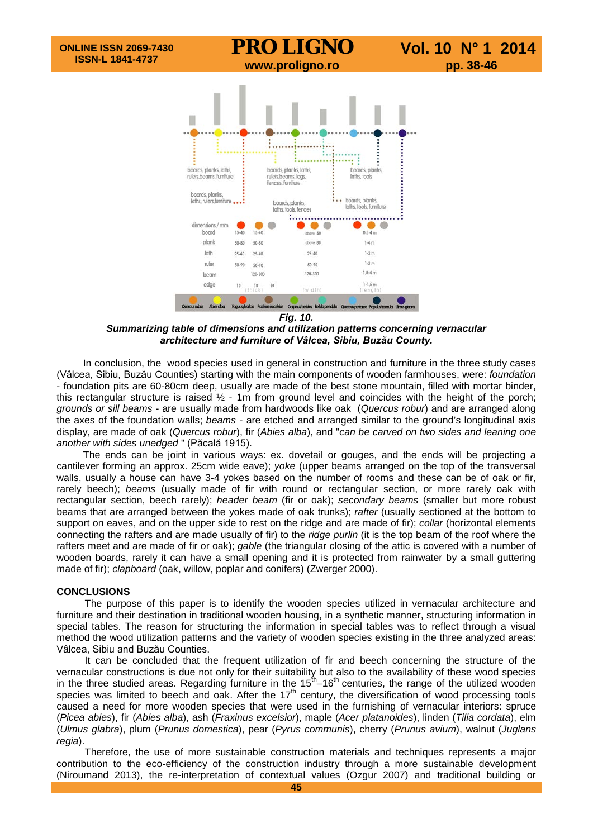

*Summarizing table of dimensions and utilization patterns concerning vernacular architecture and furniture of Vâlcea, Sibiu, Buzău County.*

In conclusion, the wood species used in general in construction and furniture in the three study cases (Vâlcea, Sibiu, Buzău Counties) starting with the main components of wooden farmhouses, were: *foundation* - foundation pits are 60-80cm deep, usually are made of the best stone mountain, filled with mortar binder, this rectangular structure is raised  $\frac{1}{2}$  - 1m from ground level and coincides with the height of the porch; *grounds or sill beams* - are usually made from hardwoods like oak (*Quercus robur*) and are arranged along the axes of the foundation walls; *beams* - are etched and arranged similar to the ground's longitudinal axis display, are made of oak (*Quercus robur*), fir (*Abies alba*), and "*can be carved on two sides and leaning one another with sides unedged* " (Păcală 1915).

The ends can be joint in various ways: ex. dovetail or gouges, and the ends will be projecting a cantilever forming an approx. 25cm wide eave); *yoke* (upper beams arranged on the top of the transversal walls, usually a house can have 3-4 yokes based on the number of rooms and these can be of oak or fir, rarely beech); *beams* (usually made of fir with round or rectangular section, or more rarely oak with rectangular section, beech rarely); *header beam* (fir or oak); *secondary beams* (smaller but more robust beams that are arranged between the yokes made of oak trunks); *rafter* (usually sectioned at the bottom to support on eaves, and on the upper side to rest on the ridge and are made of fir); *collar* (horizontal elements connecting the rafters and are made usually of fir) to the *ridge purlin* (it is the top beam of the roof where the rafters meet and are made of fir or oak); *gable* (the triangular closing of the attic is covered with a number of wooden boards, rarely it can have a small opening and it is protected from rainwater by a small guttering made of fir); *clapboard* (oak, willow, poplar and conifers) (Zwerger 2000).

#### **CONCLUSIONS**

The purpose of this paper is to identify the wooden species utilized in vernacular architecture and furniture and their destination in traditional wooden housing, in a synthetic manner, structuring information in special tables. The reason for structuring the information in special tables was to reflect through a visual method the wood utilization patterns and the variety of wooden species existing in the three analyzed areas: Vâlcea, Sibiu and Buzău Counties.

It can be concluded that the frequent utilization of fir and beech concerning the structure of the vernacular constructions is due not only for their suitability but also to the availability of these wood species in the three studied areas. Regarding furniture in the  $15^{th}$ –16<sup>th</sup> centuries, the range of the utilized wooden species was limited to beech and oak. After the  $17<sup>th</sup>$  century, the diversification of wood processing tools caused a need for more wooden species that were used in the furnishing of vernacular interiors: spruce (*Picea abies*), fir (*Abies alba*), ash (*Fraxinus excelsior*), maple (*Acer platanoides*), linden (*Tilia cordata*), elm (*Ulmus glabra*), plum (*Prunus domestica*), pear (*Pyrus communis*), cherry (*Prunus avium*), walnut (*Juglans regia*).

Therefore, the use of more sustainable construction materials and techniques represents a major contribution to the eco-efficiency of the construction industry through a more sustainable development (Niroumand 2013), the re-interpretation of contextual values (Ozgur 2007) and traditional building or